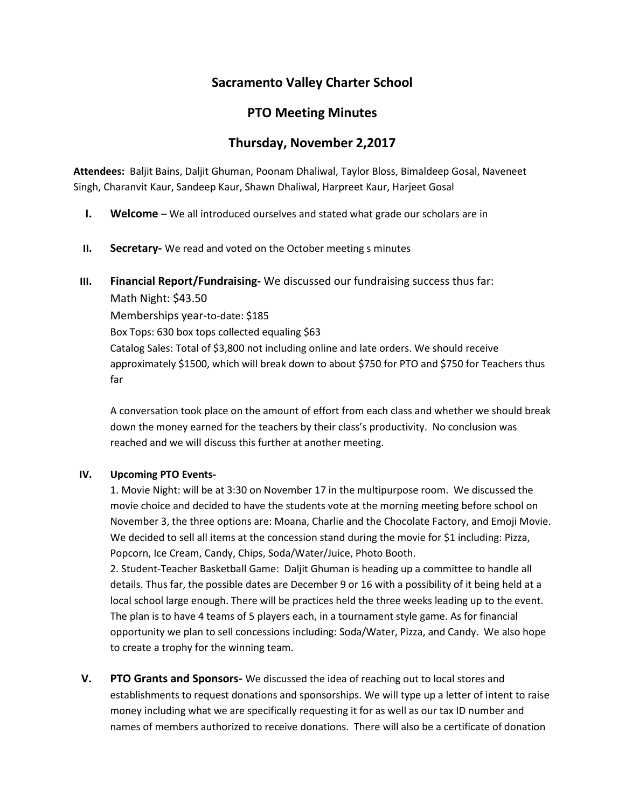# **Sacramento Valley Charter School**

## **PTO Meeting Minutes**

## **Thursday, November 2,2017**

**Attendees:** Baljit Bains, Daljit Ghuman, Poonam Dhaliwal, Taylor Bloss, Bimaldeep Gosal, Naveneet Singh, Charanvit Kaur, Sandeep Kaur, Shawn Dhaliwal, Harpreet Kaur, Harjeet Gosal

- **I. Welcome** We all introduced ourselves and stated what grade our scholars are in
- **II. Secretary-** We read and voted on the October meeting s minutes
- **III. Financial Report/Fundraising-** We discussed our fundraising success thus far:

Math Night: \$43.50 Memberships year-to-date: \$185 Box Tops: 630 box tops collected equaling \$63 Catalog Sales: Total of \$3,800 not including online and late orders. We should receive approximately \$1500, which will break down to about \$750 for PTO and \$750 for Teachers thus far

A conversation took place on the amount of effort from each class and whether we should break down the money earned for the teachers by their class's productivity. No conclusion was reached and we will discuss this further at another meeting.

#### **IV. Upcoming PTO Events-**

1. Movie Night: will be at 3:30 on November 17 in the multipurpose room. We discussed the movie choice and decided to have the students vote at the morning meeting before school on November 3, the three options are: Moana, Charlie and the Chocolate Factory, and Emoji Movie. We decided to sell all items at the concession stand during the movie for \$1 including: Pizza, Popcorn, Ice Cream, Candy, Chips, Soda/Water/Juice, Photo Booth.

2. Student-Teacher Basketball Game: Daljit Ghuman is heading up a committee to handle all details. Thus far, the possible dates are December 9 or 16 with a possibility of it being held at a local school large enough. There will be practices held the three weeks leading up to the event. The plan is to have 4 teams of 5 players each, in a tournament style game. As for financial opportunity we plan to sell concessions including: Soda/Water, Pizza, and Candy. We also hope to create a trophy for the winning team.

**V. PTO Grants and Sponsors-** We discussed the idea of reaching out to local stores and establishments to request donations and sponsorships. We will type up a letter of intent to raise money including what we are specifically requesting it for as well as our tax ID number and names of members authorized to receive donations. There will also be a certificate of donation